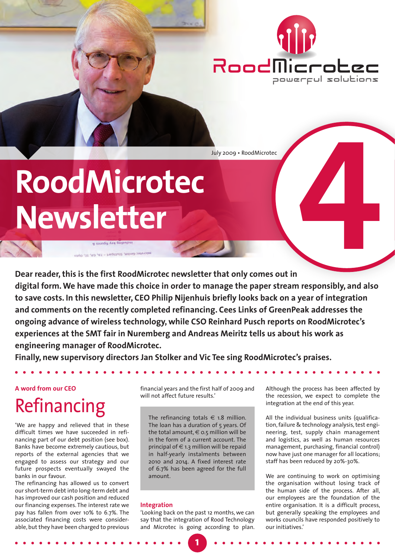

July 2009 • RoodMicrotec**4**

# **RoodMicrotec Newsletter**

**R** samby you gaibuban microtec GmbH, Stutigart - FA, GA, IE, Opto

**Dear reader, this is the first RoodMicrotec newsletter that only comes out in digital form. We have made this choice in order to manage the paper stream responsibly, and also to save costs. In this newsletter, CEO Philip Nijenhuis briefly looks back on a year of integration and comments on the recently completed refinancing. Cees Links of GreenPeak addresses the ongoing advance of wireless technology, while CSO Reinhard Pusch reports on RoodMicrotec's experiences at the SMT fair in Nuremberg and Andreas Meiritz tells us about his work as engineering manager of RoodMicrotec.** 

**Finally, new supervisory directors Jan Stolker and Vic Tee sing RoodMicrotec's praises.** 

#### **A word from our CEO**

# Refinancing

'We are happy and relieved that in these difficult times we have succeeded in refinancing part of our debt position (see box). Banks have become extremely cautious, but reports of the external agencies that we engaged to assess our strategy and our future prospects eventually swayed the banks in our favour.

The refinancing has allowed us to convert our short-term debt into long-term debt and has improved our cash position and reduced our financing expenses. The interest rate we pay has fallen from over 10% to 6.7%. The associated financing costs were considerable, but they have been charged to previous

financial years and the first half of 2009 and will not affect future results.'

The refinancing totals  $\epsilon$  1.8 million. The loan has a duration of 5 years. Of the total amount,  $\in$  0.5 million will be in the form of a current account. The principal of  $\in$  1.3 million will be repaid in half-yearly instalments between 2010 and 2014. A fixed interest rate of 6.7% has been agreed for the full amount.

#### **Integration**

'Looking back on the past 12 months, we can say that the integration of Rood Technology and Microtec is going according to plan.

**1**

Although the process has been affected by the recession, we expect to complete the integration at the end of this year.

All the individual business units (qualification, failure & technology analysis, test engineering, test, supply chain management and logistics, as well as human resources management, purchasing, financial control) now have just one manager for all locations; staff has been reduced by 20%-30%.

We are continuing to work on optimising the organisation without losing track of the human side of the process. After all, our employees are the foundation of the entire organisation. It is a difficult process, but generally speaking the employees and works councils have responded positively to our initiatives.'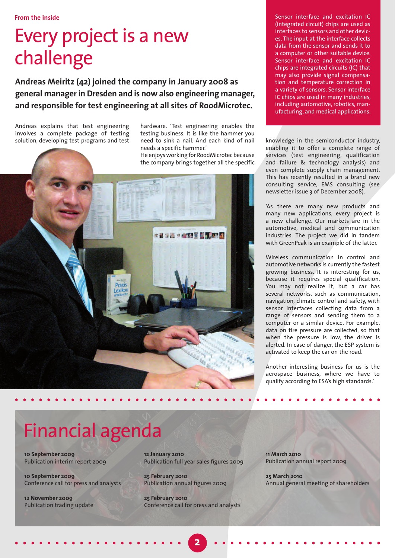### Every project is a new challenge

**Andreas Meiritz (42) joined the company in January 2008 as general manager in Dresden and is now also engineering manager, and responsible for test engineering at all sites of RoodMicrotec.** 

Andreas explains that test engineering involves a complete package of testing solution, developing test programs and test hardware. 'Test engineering enables the testing business. It is like the hammer you need to sink a nail. And each kind of nail needs a specific hammer.'

He enjoys working for RoodMicrotec because the company brings together all the specific



Sensor interface and excitation IC (integrated circuit) chips are used as interfaces to sensors and other devices. The input at the interface collects data from the sensor and sends it to a computer or other suitable device. Sensor interface and excitation IC chips are integrated circuits (IC) that may also provide signal compensation and temperature correction in a variety of sensors. Sensor interface IC chips are used in many industries, including automotive, robotics, manufacturing, and medical applications.

knowledge in the semiconductor industry, enabling it to offer a complete range of services (test engineering, qualification and failure & technology analysis) and even complete supply chain management. This has recently resulted in a brand new consulting service, EMS consulting (see newsletter issue 3 of December 2008).

'As there are many new products and many new applications, every project is a new challenge. Our markets are in the automotive, medical and communication industries. The project we did in tandem with GreenPeak is an example of the latter.

Wireless communication in control and automotive networks is currently the fastest growing business. It is interesting for us, because it requires special qualification. You may not realize it, but a car has several networks, such as communication, navigation, climate control and safety, with sensor interfaces collecting data from a range of sensors and sending them to a computer or a similar device. For example. data on tire pressure are collected, so that when the pressure is low, the driver is alerted. In case of danger, the ESP system is activated to keep the car on the road.

Another interesting business for us is the aerospace business, where we have to qualify according to ESA's high standards.'

# Financial agenda

**10 September 2009** Publication interim report 2009

**10 September 2009** Conference call for press and analysts

**12 November 2009**  Publication trading update **12 January 2010** Publication full year sales figures 2009

**25 February 2010** Publication annual figures 2009

**25 February 2010** Conference call for press and analysts

**2**

**11 March 2010**  Publication annual report 2009

**25 March 2010** Annual general meeting of shareholders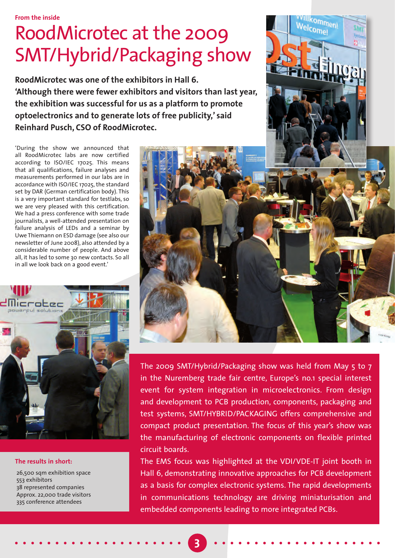**From the inside**

## RoodMicrotec at the 2009 SMT/Hybrid/Packaging show

**RoodMicrotec was one of the exhibitors in Hall 6. 'Although there were fewer exhibitors and visitors than last year, the exhibition was successful for us as a platform to promote optoelectronics and to generate lots of free publicity,' said Reinhard Pusch, CSO of RoodMicrotec.** 

'During the show we announced that all RoodMicrotec labs are now certified according to ISO/IEC 17025. This means that all qualifications, failure analyses and measurements performed in our labs are in accordance with ISO/IEC 17025, the standard set by DAR (German certification body). This is a very important standard for testlabs, so we are very pleased with this certification. We had a press conference with some trade journalists, a well-attended presentation on failure analysis of LEDs and a seminar by Uwe Thiemann on ESD damage (see also our newsletter of June 2008), also attended by a considerable number of people. And above all, it has led to some 30 new contacts. So all in all we look back on a good event.'



#### **The results in short:**

26,500 sqm exhibition space 553 exhibitors 38 represented companies Approx. 22,000 trade visitors 335 conference attendees



lkommeni<br>Iron Welcome!

The 2009 SMT/Hybrid/Packaging show was held from May 5 to 7 in the Nuremberg trade fair centre, Europe's no.1 special interest event for system integration in microelectronics. From design and development to PCB production, components, packaging and test systems, SMT/HYBRID/PACKAGING offers comprehensive and compact product presentation. The focus of this year's show was the manufacturing of electronic components on flexible printed circuit boards.

The EMS focus was highlighted at the VDI/VDE-IT joint booth in Hall 6, demonstrating innovative approaches for PCB development as a basis for complex electronic systems. The rapid developments in communications technology are driving miniaturisation and embedded components leading to more integrated PCBs.

**3**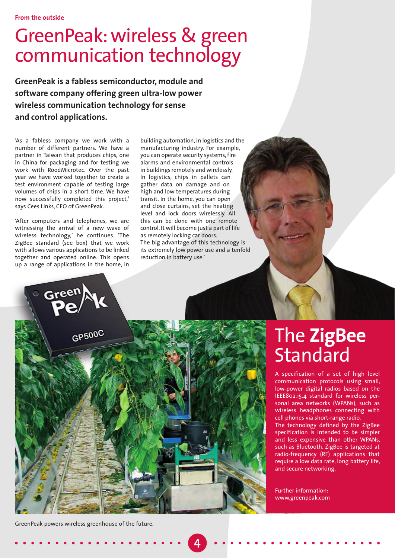### GreenPeak: wireless & green communication technology

**GreenPeak is a fabless semiconductor, module and software company offering green ultra-low power wireless communication technology for sense and control applications.**

'As a fabless company we work with a number of different partners. We have a partner in Taiwan that produces chips, one in China for packaging and for testing we work with RoodMicrotec. Over the past year we have worked together to create a test environment capable of testing large volumes of chips in a short time. We have now successfully completed this project,' says Cees Links, CEO of GreenPeak.

'After computers and telephones, we are witnessing the arrival of a new wave of wireless technology,' he continues. 'The ZigBee standard (see box) that we work with allows various applications to be linked together and operated online. This opens up a range of applications in the home, in

building automation, in logistics and the manufacturing industry. For example, you can operate security systems, fire alarms and environmental controls in buildings remotely and wirelessly. In logistics, chips in pallets can gather data on damage and on high and low temperatures during transit. In the home, you can open and close curtains, set the heating level and lock doors wirelessly. All this can be done with one remote control. It will become just a part of life as remotely locking car doors. The big advantage of this technology is its extremely low power use and a tenfold reduction in battery use.'



### The **ZigBee Standard**

A specification of a set of high level communication protocols using small, low-power digital radios based on the IEEE802.15.4 standard for wireless personal area networks (WPANs), such as wireless headphones connecting with cell phones via short-range radio. The technology defined by the ZigBee specification is intended to be simpler

and less expensive than other WPANs, such as Bluetooth. ZigBee is targeted at radio-frequency (RF) applications that require a low data rate, long battery life, and secure networking.

Further information: www.greenpeak.com

GreenPeak powers wireless greenhouse of the future.